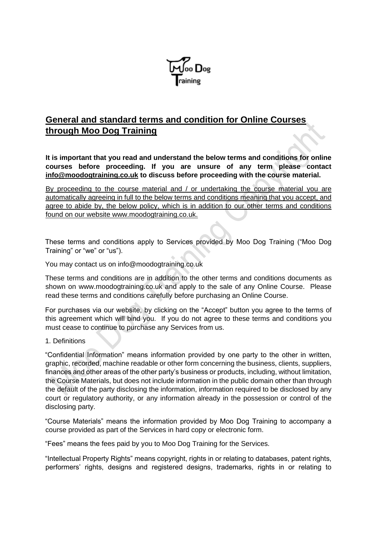

# **General and standard terms and condition for Online Courses through Moo Dog Training**

**It is important that you read and understand the below terms and conditions for online courses before proceeding. If you are unsure of any term please contact info@moodogtraining.co.uk to discuss before proceeding with the course material.** 

By proceeding to the course material and / or undertaking the course material you are automatically agreeing in full to the below terms and conditions meaning that you accept, and agree to abide by, the below policy, which is in addition to our other terms and conditions found on our website www.moodogtraining.co.uk.

These terms and conditions apply to Services provided by Moo Dog Training ("Moo Dog Training" or "we" or "us").

You may contact us on info@moodogtraining.co.uk

These terms and conditions are in addition to the other terms and conditions documents as shown on www.moodogtraining.co.uk and apply to the sale of any Online Course. Please read these terms and conditions carefully before purchasing an Online Course.

For purchases via our website, by clicking on the "Accept" button you agree to the terms of this agreement which will bind you. If you do not agree to these terms and conditions you must cease to continue to purchase any Services from us.

## 1. Definitions

"Confidential Information" means information provided by one party to the other in written, graphic, recorded, machine readable or other form concerning the business, clients, suppliers, finances and other areas of the other party's business or products, including, without limitation, the Course Materials, but does not include information in the public domain other than through the default of the party disclosing the information, information required to be disclosed by any court or regulatory authority, or any information already in the possession or control of the disclosing party.

"Course Materials" means the information provided by Moo Dog Training to accompany a course provided as part of the Services in hard copy or electronic form.

"Fees" means the fees paid by you to Moo Dog Training for the Services.

"Intellectual Property Rights" means copyright, rights in or relating to databases, patent rights, performers' rights, designs and registered designs, trademarks, rights in or relating to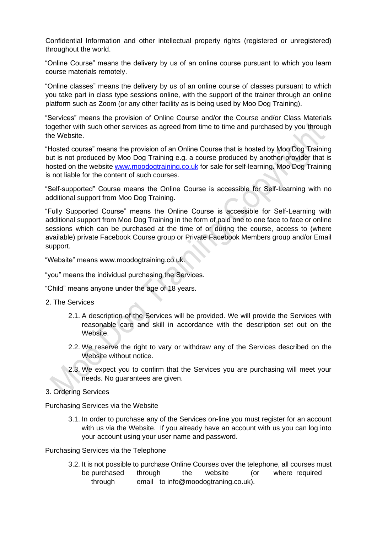Confidential Information and other intellectual property rights (registered or unregistered) throughout the world.

"Online Course" means the delivery by us of an online course pursuant to which you learn course materials remotely.

"Online classes" means the delivery by us of an online course of classes pursuant to which you take part in class type sessions online, with the support of the trainer through an online platform such as Zoom (or any other facility as is being used by Moo Dog Training).

"Services" means the provision of Online Course and/or the Course and/or Class Materials together with such other services as agreed from time to time and purchased by you through the Website.

"Hosted course" means the provision of an Online Course that is hosted by Moo Dog Training but is not produced by Moo Dog Training e.g. a course produced by another provider that is hosted on the website [www.moodogtraining.co.uk](http://www.moodogtraining.co.uk/) for sale for self-learning. Moo Dog Training is not liable for the content of such courses.

"Self-supported" Course means the Online Course is accessible for Self-Learning with no additional support from Moo Dog Training.

"Fully Supported Course" means the Online Course is accessible for Self-Learning with additional support from Moo Dog Training in the form of paid one to one face to face or online sessions which can be purchased at the time of or during the course, access to (where available) private Facebook Course group or Private Facebook Members group and/or Email support.

"Website" means www.moodogtraining.co.uk.

"you" means the individual purchasing the Services.

"Child" means anyone under the age of 18 years.

- 2. The Services
	- 2.1. A description of the Services will be provided. We will provide the Services with reasonable care and skill in accordance with the description set out on the Website.
	- 2.2. We reserve the right to vary or withdraw any of the Services described on the Website without notice.
	- 2.3. We expect you to confirm that the Services you are purchasing will meet your needs. No guarantees are given.
- 3. Ordering Services

Purchasing Services via the Website

3.1. In order to purchase any of the Services on-line you must register for an account with us via the Website. If you already have an account with us you can log into your account using your user name and password.

Purchasing Services via the Telephone

3.2. It is not possible to purchase Online Courses over the telephone, all courses must be purchased through the website (or where required through email to info@moodogtraning.co.uk).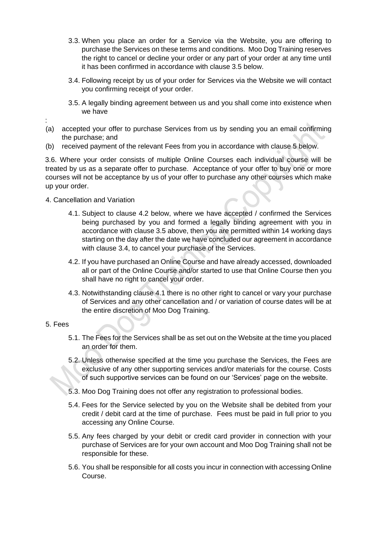- 3.3. When you place an order for a Service via the Website, you are offering to purchase the Services on these terms and conditions. Moo Dog Training reserves the right to cancel or decline your order or any part of your order at any time until it has been confirmed in accordance with clause 3.5 below.
- 3.4. Following receipt by us of your order for Services via the Website we will contact you confirming receipt of your order.
- 3.5. A legally binding agreement between us and you shall come into existence when we have
- (a) accepted your offer to purchase Services from us by sending you an email confirming the purchase; and
- (b) received payment of the relevant Fees from you in accordance with clause 5 below.

3.6. Where your order consists of multiple Online Courses each individual course will be treated by us as a separate offer to purchase. Acceptance of your offer to buy one or more courses will not be acceptance by us of your offer to purchase any other courses which make up your order.

## 4. Cancellation and Variation

- 4.1. Subject to clause 4.2 below, where we have accepted / confirmed the Services being purchased by you and formed a legally binding agreement with you in accordance with clause 3.5 above, then you are permitted within 14 working days starting on the day after the date we have concluded our agreement in accordance with clause 3.4, to cancel your purchase of the Services.
- 4.2. If you have purchased an Online Course and have already accessed, downloaded all or part of the Online Course and/or started to use that Online Course then you shall have no right to cancel your order.
- 4.3. Notwithstanding clause 4.1 there is no other right to cancel or vary your purchase of Services and any other cancellation and / or variation of course dates will be at the entire discretion of Moo Dog Training.

## 5. Fees

:

- 5.1. The Fees for the Services shall be as set out on the Website at the time you placed an order for them.
- 5.2. Unless otherwise specified at the time you purchase the Services, the Fees are exclusive of any other supporting services and/or materials for the course. Costs of such supportive services can be found on our 'Services' page on the website.
- 5.3. Moo Dog Training does not offer any registration to professional bodies.
- 5.4. Fees for the Service selected by you on the Website shall be debited from your credit / debit card at the time of purchase. Fees must be paid in full prior to you accessing any Online Course.
- 5.5. Any fees charged by your debit or credit card provider in connection with your purchase of Services are for your own account and Moo Dog Training shall not be responsible for these.
- 5.6. You shall be responsible for all costs you incur in connection with accessing Online Course.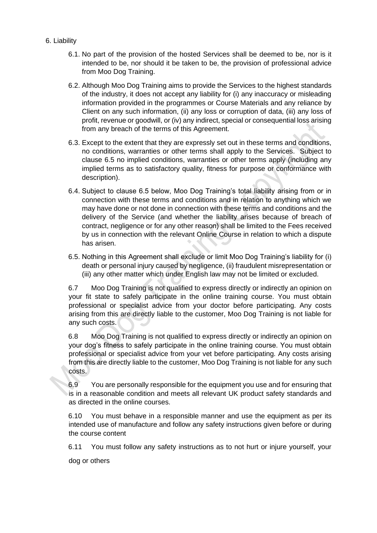- 6. Liability
	- 6.1. No part of the provision of the hosted Services shall be deemed to be, nor is it intended to be, nor should it be taken to be, the provision of professional advice from Moo Dog Training.
	- 6.2. Although Moo Dog Training aims to provide the Services to the highest standards of the industry, it does not accept any liability for (i) any inaccuracy or misleading information provided in the programmes or Course Materials and any reliance by Client on any such information, (ii) any loss or corruption of data, (iii) any loss of profit, revenue or goodwill, or (iv) any indirect, special or consequential loss arising from any breach of the terms of this Agreement.
	- 6.3. Except to the extent that they are expressly set out in these terms and conditions, no conditions, warranties or other terms shall apply to the Services. Subject to clause 6.5 no implied conditions, warranties or other terms apply (including any implied terms as to satisfactory quality, fitness for purpose or conformance with description).
	- 6.4. Subject to clause 6.5 below, Moo Dog Training's total liability arising from or in connection with these terms and conditions and in relation to anything which we may have done or not done in connection with these terms and conditions and the delivery of the Service (and whether the liability arises because of breach of contract, negligence or for any other reason) shall be limited to the Fees received by us in connection with the relevant Online Course in relation to which a dispute has arisen.
	- 6.5. Nothing in this Agreement shall exclude or limit Moo Dog Training's liability for (i) death or personal injury caused by negligence, (ii) fraudulent misrepresentation or (iii) any other matter which under English law may not be limited or excluded.

6.7 Moo Dog Training is not qualified to express directly or indirectly an opinion on your fit state to safely participate in the online training course. You must obtain professional or specialist advice from your doctor before participating. Any costs arising from this are directly liable to the customer, Moo Dog Training is not liable for any such costs.

6.8 Moo Dog Training is not qualified to express directly or indirectly an opinion on your dog's fitness to safely participate in the online training course. You must obtain professional or specialist advice from your vet before participating. Any costs arising from this are directly liable to the customer, Moo Dog Training is not liable for any such costs.

6.9 You are personally responsible for the equipment you use and for ensuring that is in a reasonable condition and meets all relevant UK product safety standards and as directed in the online courses.

6.10 You must behave in a responsible manner and use the equipment as per its intended use of manufacture and follow any safety instructions given before or during the course content

6.11 You must follow any safety instructions as to not hurt or injure yourself, your dog or others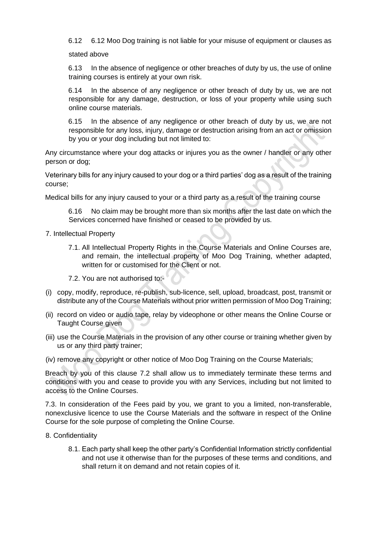6.12 6.12 Moo Dog training is not liable for your misuse of equipment or clauses as

stated above

6.13 In the absence of negligence or other breaches of duty by us, the use of online training courses is entirely at your own risk.

6.14 In the absence of any negligence or other breach of duty by us, we are not responsible for any damage, destruction, or loss of your property while using such online course materials.

6.15 In the absence of any negligence or other breach of duty by us, we are not responsible for any loss, injury, damage or destruction arising from an act or omission by you or your dog including but not limited to:

Any circumstance where your dog attacks or injures you as the owner / handler or any other person or dog;

Veterinary bills for any injury caused to your dog or a third parties' dog as a result of the training course;

Medical bills for any injury caused to your or a third party as a result of the training course

6.16 No claim may be brought more than six months after the last date on which the Services concerned have finished or ceased to be provided by us.

- 7. Intellectual Property
	- 7.1. All Intellectual Property Rights in the Course Materials and Online Courses are, and remain, the intellectual property of Moo Dog Training, whether adapted, written for or customised for the Client or not.
	- 7.2. You are not authorised to:-
- (i) copy, modify, reproduce, re-publish, sub-licence, sell, upload, broadcast, post, transmit or distribute any of the Course Materials without prior written permission of Moo Dog Training;
- (ii) record on video or audio tape, relay by videophone or other means the Online Course or Taught Course given
- (iii) use the Course Materials in the provision of any other course or training whether given by us or any third party trainer;
- (iv) remove any copyright or other notice of Moo Dog Training on the Course Materials;

Breach by you of this clause 7.2 shall allow us to immediately terminate these terms and conditions with you and cease to provide you with any Services, including but not limited to access to the Online Courses.

7.3. In consideration of the Fees paid by you, we grant to you a limited, non-transferable, nonexclusive licence to use the Course Materials and the software in respect of the Online Course for the sole purpose of completing the Online Course.

- 8. Confidentiality
	- 8.1. Each party shall keep the other party's Confidential Information strictly confidential and not use it otherwise than for the purposes of these terms and conditions, and shall return it on demand and not retain copies of it.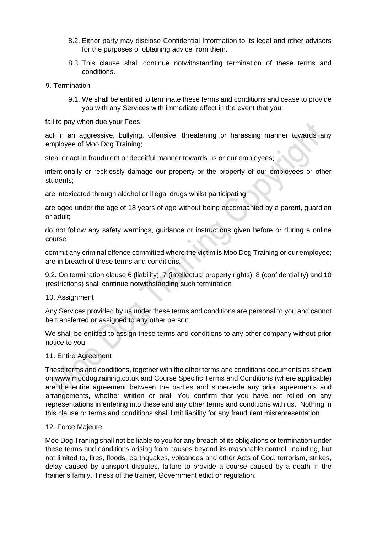- 8.2. Either party may disclose Confidential Information to its legal and other advisors for the purposes of obtaining advice from them.
- 8.3. This clause shall continue notwithstanding termination of these terms and conditions.
- 9. Termination
	- 9.1. We shall be entitled to terminate these terms and conditions and cease to provide you with any Services with immediate effect in the event that you:

fail to pay when due your Fees;

act in an aggressive, bullying, offensive, threatening or harassing manner towards any employee of Moo Dog Training;

steal or act in fraudulent or deceitful manner towards us or our employees;

intentionally or recklessly damage our property or the property of our employees or other students;

are intoxicated through alcohol or illegal drugs whilst participating;

are aged under the age of 18 years of age without being accompanied by a parent, guardian or adult;

do not follow any safety warnings, guidance or instructions given before or during a online course

commit any criminal offence committed where the victim is Moo Dog Training or our employee; are in breach of these terms and conditions.

9.2. On termination clause 6 (liability), 7 (intellectual property rights), 8 (confidentiality) and 10 (restrictions) shall continue notwithstanding such termination

#### 10. Assignment

Any Services provided by us under these terms and conditions are personal to you and cannot be transferred or assigned to any other person.

We shall be entitled to assign these terms and conditions to any other company without prior notice to you.

#### 11. Entire Agreement

These terms and conditions, together with the other terms and conditions documents as shown on www.moodogtraining.co.uk and Course Specific Terms and Conditions (where applicable) are the entire agreement between the parties and supersede any prior agreements and arrangements, whether written or oral. You confirm that you have not relied on any representations in entering into these and any other terms and conditions with us. Nothing in this clause or terms and conditions shall limit liability for any fraudulent misrepresentation.

#### 12. Force Majeure

Moo Dog Traning shall not be liable to you for any breach of its obligations or termination under these terms and conditions arising from causes beyond its reasonable control, including, but not limited to, fires, floods, earthquakes, volcanoes and other Acts of God, terrorism, strikes, delay caused by transport disputes, failure to provide a course caused by a death in the trainer's family, illness of the trainer, Government edict or regulation.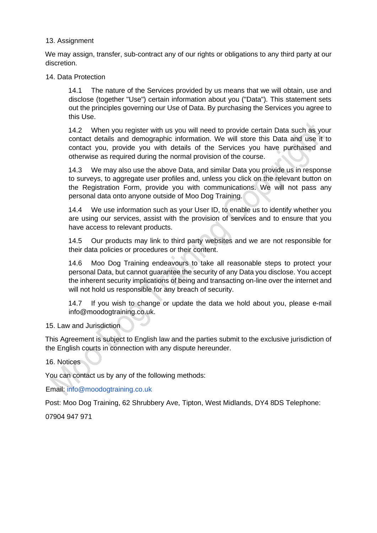### 13. Assignment

We may assign, transfer, sub-contract any of our rights or obligations to any third party at our discretion.

#### 14. Data Protection

14.1 The nature of the Services provided by us means that we will obtain, use and disclose (together "Use") certain information about you ("Data"). This statement sets out the principles governing our Use of Data. By purchasing the Services you agree to this Use.

14.2 When you register with us you will need to provide certain Data such as your contact details and demographic information. We will store this Data and use it to contact you, provide you with details of the Services you have purchased and otherwise as required during the normal provision of the course.

14.3 We may also use the above Data, and similar Data you provide us in response to surveys, to aggregate user profiles and, unless you click on the relevant button on the Registration Form, provide you with communications. We will not pass any personal data onto anyone outside of Moo Dog Training.

14.4 We use information such as your User ID, to enable us to identify whether you are using our services, assist with the provision of services and to ensure that you have access to relevant products.

14.5 Our products may link to third party websites and we are not responsible for their data policies or procedures or their content.

14.6 Moo Dog Training endeavours to take all reasonable steps to protect your personal Data, but cannot guarantee the security of any Data you disclose. You accept the inherent security implications of being and transacting on-line over the internet and will not hold us responsible for any breach of security.

14.7 If you wish to change or update the data we hold about you, please e-mail info@moodogtraining.co.uk.

15. Law and Jurisdiction

This Agreement is subject to English law and the parties submit to the exclusive jurisdiction of the English courts in connection with any dispute hereunder.

#### 16. Notices

You can contact us by any of the following methods:

Email: info@moodogtraining.co.uk

Post: Moo Dog Training, 62 Shrubbery Ave, Tipton, West Midlands, DY4 8DS Telephone:

07904 947 971